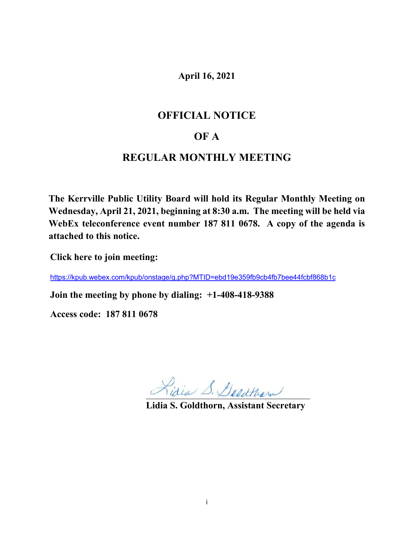# **April 16, 2021**

# **OFFICIAL NOTICE**

# **OF A**

# **REGULAR MONTHLY MEETING**

**The Kerrville Public Utility Board will hold its Regular Monthly Meeting on Wednesday, April 21, 2021, beginning at 8:30 a.m. The meeting will be held via WebEx teleconference event number 187 811 0678. A copy of the agenda is attached to this notice.**

**Click here to join meeting:** 

<https://kpub.webex.com/kpub/onstage/g.php?MTID=ebd19e359fb9cb4fb7bee44fcbf868b1c>

**Join the meeting by phone by dialing: +1-408-418-9388**

**Access code: 187 811 0678**

Lidia S. Goldtham

**Lidia S. Goldthorn, Assistant Secretary**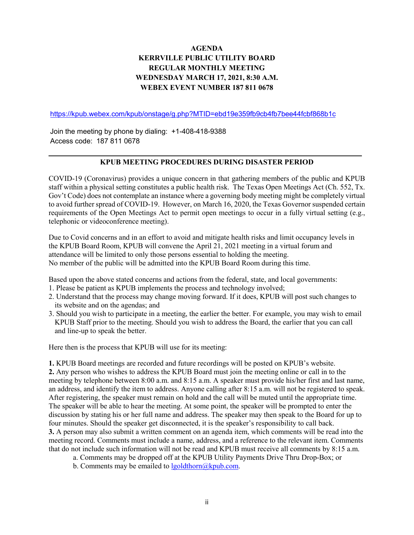# **AGENDA KERRVILLE PUBLIC UTILITY BOARD REGULAR MONTHLY MEETING WEDNESDAY MARCH 17, 2021, 8:30 A.M. WEBEX EVENT NUMBER 187 811 0678**

<https://kpub.webex.com/kpub/onstage/g.php?MTID=ebd19e359fb9cb4fb7bee44fcbf868b1c>

Join the meeting by phone by dialing: +1-408-418-9388 Access code: 187 811 0678

#### **KPUB MEETING PROCEDURES DURING DISASTER PERIOD**

COVID-19 (Coronavirus) provides a unique concern in that gathering members of the public and KPUB staff within a physical setting constitutes a public health risk. The Texas Open Meetings Act (Ch. 552, Tx. Gov't Code) does not contemplate an instance where a governing body meeting might be completely virtual to avoid further spread of COVID-19. However, on March 16, 2020, the Texas Governor suspended certain requirements of the Open Meetings Act to permit open meetings to occur in a fully virtual setting (e.g., telephonic or videoconference meeting).

Due to Covid concerns and in an effort to avoid and mitigate health risks and limit occupancy levels in the KPUB Board Room, KPUB will convene the April 21, 2021 meeting in a virtual forum and attendance will be limited to only those persons essential to holding the meeting. No member of the public will be admitted into the KPUB Board Room during this time.

Based upon the above stated concerns and actions from the federal, state, and local governments:

- 1. Please be patient as KPUB implements the process and technology involved;
- 2. Understand that the process may change moving forward. If it does, KPUB will post such changes to its website and on the agendas; and
- 3. Should you wish to participate in a meeting, the earlier the better. For example, you may wish to email KPUB Staff prior to the meeting. Should you wish to address the Board, the earlier that you can call and line-up to speak the better.

Here then is the process that KPUB will use for its meeting:

**1.** KPUB Board meetings are recorded and future recordings will be posted on KPUB's website. **2.** Any person who wishes to address the KPUB Board must join the meeting online or call in to the meeting by telephone between 8:00 a.m. and 8:15 a.m. A speaker must provide his/her first and last name, an address, and identify the item to address. Anyone calling after 8:15 a.m. will not be registered to speak. After registering, the speaker must remain on hold and the call will be muted until the appropriate time. The speaker will be able to hear the meeting. At some point, the speaker will be prompted to enter the discussion by stating his or her full name and address. The speaker may then speak to the Board for up to four minutes. Should the speaker get disconnected, it is the speaker's responsibility to call back. **3.** A person may also submit a written comment on an agenda item, which comments will be read into the meeting record. Comments must include a name, address, and a reference to the relevant item. Comments that do not include such information will not be read and KPUB must receive all comments by 8:15 a.m.

a. Comments may be dropped off at the KPUB Utility Payments Drive Thru Drop-Box; or

b. Comments may be emailed to  $lgoldthorn@kpub.com$ .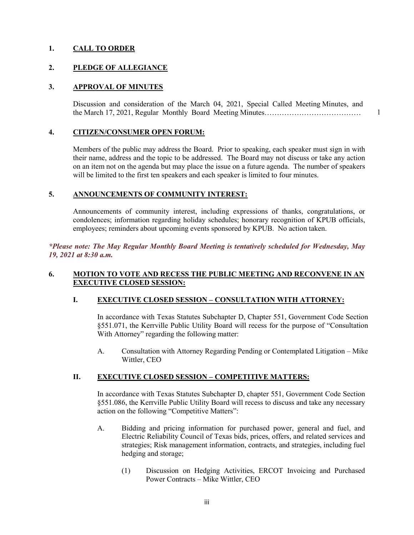# **1. CALL TO ORDER**

#### **2. PLEDGE OF ALLEGIANCE**

#### **3. APPROVAL OF MINUTES**

Discussion and consideration of the March 04, 2021, Special Called Meeting Minutes, and the March 17, 2021, Regular Monthly Board Meeting Minutes…………………………………

1

#### **4. CITIZEN/CONSUMER OPEN FORUM:**

Members of the public may address the Board. Prior to speaking, each speaker must sign in with their name, address and the topic to be addressed. The Board may not discuss or take any action on an item not on the agenda but may place the issue on a future agenda. The number of speakers will be limited to the first ten speakers and each speaker is limited to four minutes.

#### **5. ANNOUNCEMENTS OF COMMUNITY INTEREST:**

Announcements of community interest, including expressions of thanks, congratulations, or condolences; information regarding holiday schedules; honorary recognition of KPUB officials, employees; reminders about upcoming events sponsored by KPUB. No action taken.

*\*Please note: The May Regular Monthly Board Meeting is tentatively scheduled for Wednesday, May 19, 2021 at 8:30 a.m.*

#### **6. MOTION TO VOTE AND RECESS THE PUBLIC MEETING AND RECONVENE IN AN EXECUTIVE CLOSED SESSION:**

# **I. EXECUTIVE CLOSED SESSION – CONSULTATION WITH ATTORNEY:**

In accordance with Texas Statutes Subchapter D, Chapter 551, Government Code Section §551.071, the Kerrville Public Utility Board will recess for the purpose of "Consultation With Attorney" regarding the following matter:

A. Consultation with Attorney Regarding Pending or Contemplated Litigation – Mike Wittler, CEO

### **II. EXECUTIVE CLOSED SESSION – COMPETITIVE MATTERS:**

In accordance with Texas Statutes Subchapter D, chapter 551, Government Code Section §551.086, the Kerrville Public Utility Board will recess to discuss and take any necessary action on the following "Competitive Matters":

- A. Bidding and pricing information for purchased power, general and fuel, and Electric Reliability Council of Texas bids, prices, offers, and related services and strategies; Risk management information, contracts, and strategies, including fuel hedging and storage;
	- (1) Discussion on Hedging Activities, ERCOT Invoicing and Purchased Power Contracts – Mike Wittler, CEO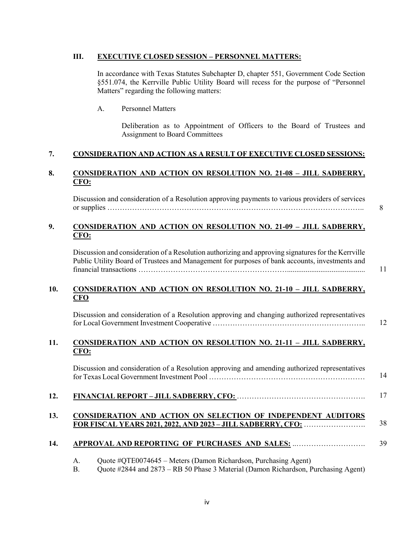#### **III. EXECUTIVE CLOSED SESSION – PERSONNEL MATTERS:**

In accordance with Texas Statutes Subchapter D, chapter 551, Government Code Section §551.074, the Kerrville Public Utility Board will recess for the purpose of "Personnel Matters" regarding the following matters:

## A. Personnel Matters

Deliberation as to Appointment of Officers to the Board of Trustees and Assignment to Board Committees

# **7. CONSIDERATION AND ACTION AS A RESULT OF EXECUTIVE CLOSED SESSIONS:**

# **8. CONSIDERATION AND ACTION ON RESOLUTION NO. 21-08 – JILL SADBERRY, CFO:**

Discussion and consideration of a Resolution approving payments to various providers of services or supplies ………………………………………………………………………………………….. 8

# **9. CONSIDERATION AND ACTION ON RESOLUTION NO. 21-09 – JILL SADBERRY, CFO:**

Discussion and consideration of a Resolution authorizing and approving signatures for the Kerrville Public Utility Board of Trustees and Management for purposes of bank accounts, investments and financial transactions ……………………………………………………..........................................

11

## **10. CONSIDERATION AND ACTION ON RESOLUTION NO. 21-10 – JILL SADBERRY, CFO**

Discussion and consideration of a Resolution approving and changing authorized representatives for Local Government Investment Cooperative …………………………………………………….. 12

# **11. CONSIDERATION AND ACTION ON RESOLUTION NO. 21-11 – JILL SADBERRY, CFO:**

|     | Discussion and consideration of a Resolution approving and amending authorized representatives | 14 |
|-----|------------------------------------------------------------------------------------------------|----|
| 12. |                                                                                                |    |
|     | CONCIDED UTION AND A CTION ON CELECTION OF INDEDENDENT AUDITOR                                 |    |

#### **13. CONSIDERATION AND ACTION ON SELECTION OF INDEPENDENT AUDITORS FOR FISCAL YEARS 2021, 2022, AND 2023 – JILL SADBERRY, CFO:** ……………………. 38

#### **14. APPROVAL AND REPORTING OF PURCHASES AND SALES:** ..………………………. 39

| А. | Quote #QTE0074645 - Meters (Damon Richardson, Purchasing Agent) |  |  |  |  |  |
|----|-----------------------------------------------------------------|--|--|--|--|--|
|----|-----------------------------------------------------------------|--|--|--|--|--|

B. Quote #2844 and 2873 – RB 50 Phase 3 Material (Damon Richardson, Purchasing Agent)